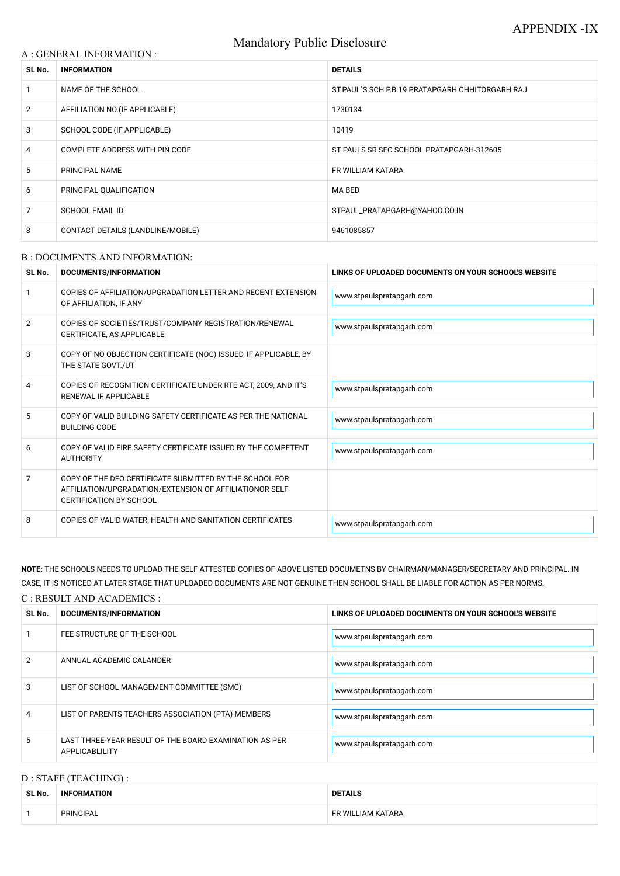# Mandatory Public Disclosure

#### A : GENERAL INFORMATION :

| SL No.         | <b>INFORMATION</b>                | <b>DETAILS</b>                                    |  |
|----------------|-----------------------------------|---------------------------------------------------|--|
|                | NAME OF THE SCHOOL                | ST. PAUL'S SCH P.B. 19 PRATAPGARH CHHITORGARH RAJ |  |
| $\overline{2}$ | AFFILIATION NO. (IF APPLICABLE)   | 1730134                                           |  |
| 3              | SCHOOL CODE (IF APPLICABLE)       | 10419                                             |  |
| 4              | COMPLETE ADDRESS WITH PIN CODE    | ST PAULS SR SEC SCHOOL PRATAPGARH-312605          |  |
| 5              | PRINCIPAL NAME                    | FR WILLIAM KATARA                                 |  |
| 6              | PRINCIPAL QUALIFICATION           | MA BED                                            |  |
| 7              | <b>SCHOOL EMAIL ID</b>            | STPAUL_PRATAPGARH@YAHOO.CO.IN                     |  |
| 8              | CONTACT DETAILS (LANDLINE/MOBILE) | 9461085857                                        |  |

#### B : DOCUMENTS AND INFORMATION:

| SL No. | DOCUMENTS/INFORMATION                                                                                                                                | LINKS OF UPLOADED DOCUMENTS ON YOUR SCHOOL'S WEBSITE |  |
|--------|------------------------------------------------------------------------------------------------------------------------------------------------------|------------------------------------------------------|--|
|        | COPIES OF AFFILIATION/UPGRADATION LETTER AND RECENT EXTENSION<br>OF AFFILIATION, IF ANY                                                              | www.stpaulspratapgarh.com                            |  |
| 2      | COPIES OF SOCIETIES/TRUST/COMPANY REGISTRATION/RENEWAL<br>CERTIFICATE, AS APPLICABLE                                                                 | www.stpaulspratapgarh.com                            |  |
| 3      | COPY OF NO OBJECTION CERTIFICATE (NOC) ISSUED, IF APPLICABLE, BY<br>THE STATE GOVT./UT                                                               |                                                      |  |
| 4      | COPIES OF RECOGNITION CERTIFICATE UNDER RTE ACT, 2009, AND IT'S<br>RENEWAL IF APPLICABLE                                                             | www.stpaulspratapgarh.com                            |  |
| 5      | COPY OF VALID BUILDING SAFETY CERTIFICATE AS PER THE NATIONAL<br><b>BUILDING CODE</b>                                                                | www.stpaulspratapgarh.com                            |  |
| 6      | COPY OF VALID FIRE SAFETY CERTIFICATE ISSUED BY THE COMPETENT<br><b>AUTHORITY</b>                                                                    | www.stpaulspratapgarh.com                            |  |
| 7      | COPY OF THE DEO CERTIFICATE SUBMITTED BY THE SCHOOL FOR<br>AFFILIATION/UPGRADATION/EXTENSION OF AFFILIATIONOR SELF<br><b>CERTIFICATION BY SCHOOL</b> |                                                      |  |
| 8      | COPIES OF VALID WATER, HEALTH AND SANITATION CERTIFICATES                                                                                            | www.stpaulspratapgarh.com                            |  |

# NOTE: THE SCHOOLS NEEDS TO UPLOAD THE SELF ATTESTED COPIES OF ABOVE LISTED DOCUMETNS BY CHAIRMAN/MANAGER/SECRETARY AND PRINCIPAL. IN CASE, IT IS NOTICED AT LATER STAGE THAT UPLOADED DOCUMENTS ARE NOT GENUINE THEN SCHOOL SHALL BE LIABLE FOR ACTION AS PER NORMS.

| C : RESULT AND ACADEMICS : |                                                                                 |                                                      |  |
|----------------------------|---------------------------------------------------------------------------------|------------------------------------------------------|--|
| SL No.                     | <b>DOCUMENTS/INFORMATION</b>                                                    | LINKS OF UPLOADED DOCUMENTS ON YOUR SCHOOL'S WEBSITE |  |
|                            | FEE STRUCTURE OF THE SCHOOL                                                     | www.stpaulspratapgarh.com                            |  |
| 2                          | ANNUAL ACADEMIC CALANDER                                                        | www.stpaulspratapgarh.com                            |  |
| 3                          | LIST OF SCHOOL MANAGEMENT COMMITTEE (SMC)                                       | www.stpaulspratapgarh.com                            |  |
| 4                          | LIST OF PARENTS TEACHERS ASSOCIATION (PTA) MEMBERS                              | www.stpaulspratapgarh.com                            |  |
|                            | LAST THREE-YEAR RESULT OF THE BOARD EXAMINATION AS PER<br><b>APPLICABLILITY</b> | www.stpaulspratapgarh.com                            |  |

# D : STAFF (TEACHING) :

| SL No. | <b>INFORMATION</b> | <b>DETAILS</b>    |
|--------|--------------------|-------------------|
|        | <b>PRINCIPAL</b>   | FR WILLIAM KATARA |